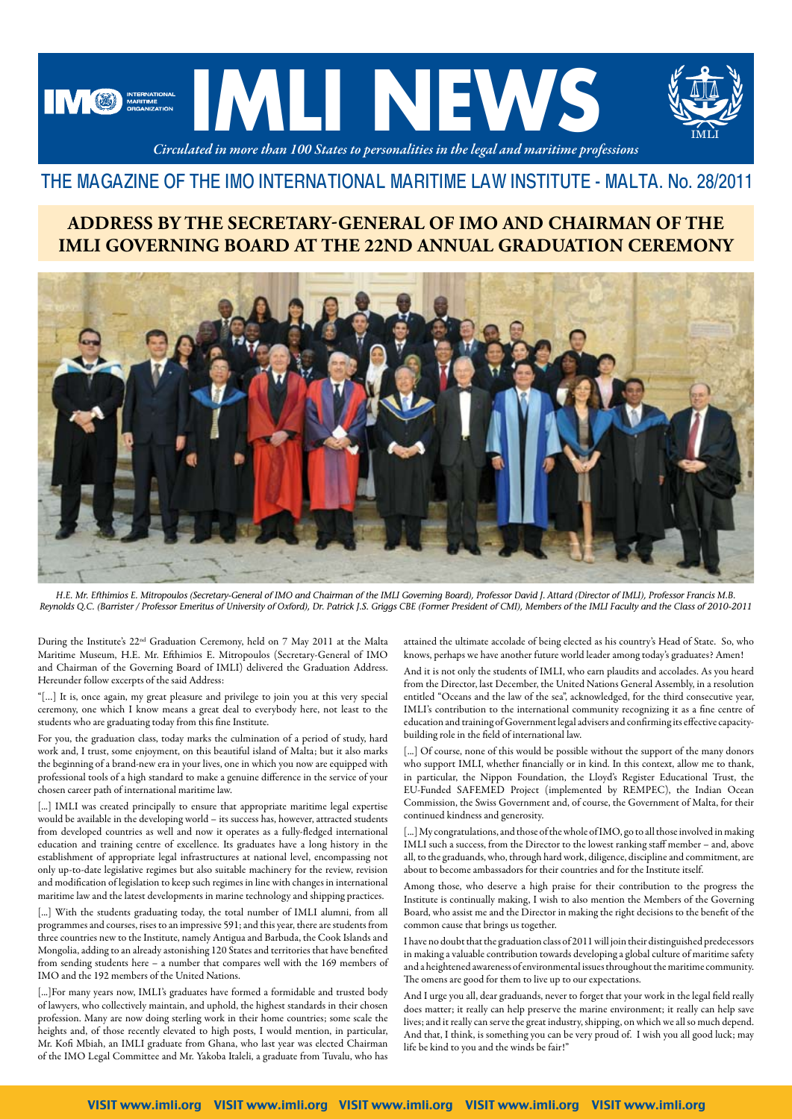

# THE MAGAZINE OF THE IMO INTERNATIONAL MARITIME LAW INSTITUTE - MALTA. No. 28/2011

### **ADDRESS BY THE SECRETARY-GENERAL OF IMO AND CHAIRMAN OF THE IMLI GOVERNING BOARD AT THE 22ND ANNUAL GRADUATION CEREMONY**



*H.E. Mr. Efthimios E. Mitropoulos (Secretary-General of IMO and Chairman of the IMLI Governing Board), Professor David J. Attard (Director of IMLI), Professor Francis M.B. Reynolds Q.C. (Barrister / Professor Emeritus of University of Oxford), Dr. Patrick J.S. Griggs CBE (Former President of CMI), Members of the IMLI Faculty and the Class of 2010-2011*

During the Institute's 22nd Graduation Ceremony, held on 7 May 2011 at the Malta Maritime Museum, H.E. Mr. Efthimios E. Mitropoulos (Secretary-General of IMO and Chairman of the Governing Board of IMLI) delivered the Graduation Address. Hereunder follow excerpts of the said Address:

"[…] It is, once again, my great pleasure and privilege to join you at this very special ceremony, one which I know means a great deal to everybody here, not least to the students who are graduating today from this fine Institute.

For you, the graduation class, today marks the culmination of a period of study, hard work and, I trust, some enjoyment, on this beautiful island of Malta; but it also marks the beginning of a brand-new era in your lives, one in which you now are equipped with professional tools of a high standard to make a genuine difference in the service of your chosen career path of international maritime law.

[...] IMLI was created principally to ensure that appropriate maritime legal expertise would be available in the developing world – its success has, however, attracted students from developed countries as well and now it operates as a fully-fledged international education and training centre of excellence. Its graduates have a long history in the establishment of appropriate legal infrastructures at national level, encompassing not only up-to-date legislative regimes but also suitable machinery for the review, revision and modification of legislation to keep such regimes in line with changes in international maritime law and the latest developments in marine technology and shipping practices.

[...] With the students graduating today, the total number of IMLI alumni, from all programmes and courses, rises to an impressive 591; and this year, there are students from three countries new to the Institute, namely Antigua and Barbuda, the Cook Islands and Mongolia, adding to an already astonishing 120 States and territories that have benefited from sending students here – a number that compares well with the 169 members of IMO and the 192 members of the United Nations.

[...]For many years now, IMLI's graduates have formed a formidable and trusted body of lawyers, who collectively maintain, and uphold, the highest standards in their chosen profession. Many are now doing sterling work in their home countries; some scale the heights and, of those recently elevated to high posts, I would mention, in particular, Mr. Kofi Mbiah, an IMLI graduate from Ghana, who last year was elected Chairman of the IMO Legal Committee and Mr. Yakoba Italeli, a graduate from Tuvalu, who has attained the ultimate accolade of being elected as his country's Head of State. So, who knows, perhaps we have another future world leader among today's graduates? Amen!

And it is not only the students of IMLI, who earn plaudits and accolades. As you heard from the Director, last December, the United Nations General Assembly, in a resolution entitled "Oceans and the law of the sea", acknowledged, for the third consecutive year, IMLI's contribution to the international community recognizing it as a fine centre of education and training of Government legal advisers and confirming its effective capacitybuilding role in the field of international law.

[...] Of course, none of this would be possible without the support of the many donors who support IMLI, whether financially or in kind. In this context, allow me to thank, in particular, the Nippon Foundation, the Lloyd's Register Educational Trust, the EU-Funded SAFEMED Project (implemented by REMPEC), the Indian Ocean Commission, the Swiss Government and, of course, the Government of Malta, for their continued kindness and generosity.

[...] My congratulations, and those of the whole of IMO, go to all those involved in making IMLI such a success, from the Director to the lowest ranking staff member – and, above all, to the graduands, who, through hard work, diligence, discipline and commitment, are about to become ambassadors for their countries and for the Institute itself.

Among those, who deserve a high praise for their contribution to the progress the Institute is continually making, I wish to also mention the Members of the Governing Board, who assist me and the Director in making the right decisions to the benefit of the common cause that brings us together.

I have no doubt that the graduation class of 2011 will join their distinguished predecessors in making a valuable contribution towards developing a global culture of maritime safety and a heightened awareness of environmental issues throughout the maritime community. The omens are good for them to live up to our expectations.

And I urge you all, dear graduands, never to forget that your work in the legal field really does matter; it really can help preserve the marine environment; it really can help save lives; and it really can serve the great industry, shipping, on which we all so much depend. And that, I think, is something you can be very proud of. I wish you all good luck; may life be kind to you and the winds be fair!"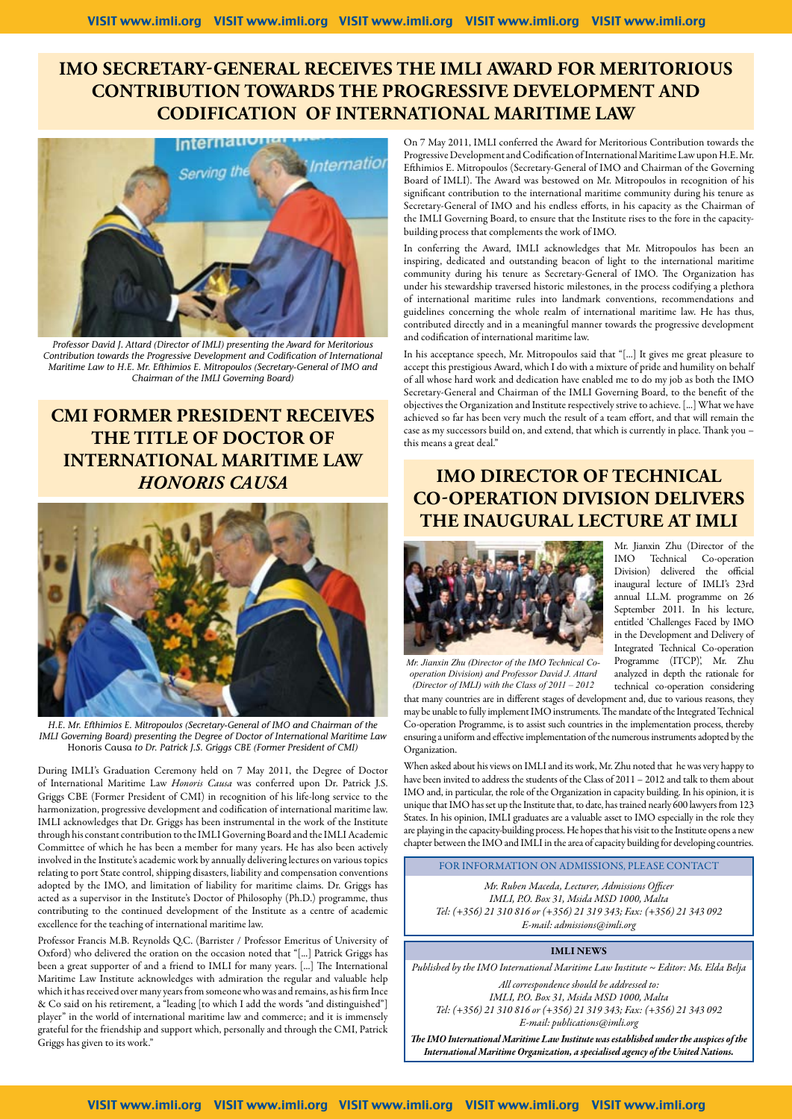### **IMO SECRETARY-GENERAL RECEIVES THE IMLI AWARD FOR MERITORIOUS CONTRIBUTION TOWARDS THE PROGRESSIVE DEVELOPMENT AND CODIFICATION OF INTERNATIONAL MARITIME LAW**



*Professor David J. Attard (Director of IMLI) presenting the Award for Meritorious Contribution towards the Progressive Development and Codification of International Maritime Law to H.E. Mr. Efthimios E. Mitropoulos (Secretary-General of IMO and Chairman of the IMLI Governing Board)*

# **CMI FORMER PRESIDENT RECEIVES THE TITLE OF DOCTOR OF INTERNATIONAL MARITIME LAW**  *HONORIS CAUSA*



*H.E. Mr. Efthimios E. Mitropoulos (Secretary-General of IMO and Chairman of the IMLI Governing Board) presenting the Degree of Doctor of International Maritime Law*  Honoris Causa *to Dr. Patrick J.S. Griggs CBE (Former President of CMI)*

During IMLI's Graduation Ceremony held on 7 May 2011, the Degree of Doctor of International Maritime Law *Honoris Causa* was conferred upon Dr. Patrick J.S. Griggs CBE (Former President of CMI) in recognition of his life-long service to the harmonization, progressive development and codification of international maritime law. IMLI acknowledges that Dr. Griggs has been instrumental in the work of the Institute through his constant contribution to the IMLI Governing Board and the IMLI Academic Committee of which he has been a member for many years. He has also been actively involved in the Institute's academic work by annually delivering lectures on various topics relating to port State control, shipping disasters, liability and compensation conventions adopted by the IMO, and limitation of liability for maritime claims. Dr. Griggs has acted as a supervisor in the Institute's Doctor of Philosophy (Ph.D.) programme, thus contributing to the continued development of the Institute as a centre of academic excellence for the teaching of international maritime law.

Professor Francis M.B. Reynolds Q.C. (Barrister / Professor Emeritus of University of Oxford) who delivered the oration on the occasion noted that "[...] Patrick Griggs has been a great supporter of and a friend to IMLI for many years. [...] The International Maritime Law Institute acknowledges with admiration the regular and valuable help which it has received over many years from someone who was and remains, as his firm Ince & Co said on his retirement, a "leading [to which I add the words "and distinguished"] player" in the world of international maritime law and commerce; and it is immensely grateful for the friendship and support which, personally and through the CMI, Patrick Griggs has given to its work."

On 7 May 2011, IMLI conferred the Award for Meritorious Contribution towards the Progressive Development and Codification of International Maritime Law upon H.E. Mr. Efthimios E. Mitropoulos (Secretary-General of IMO and Chairman of the Governing Board of IMLI). The Award was bestowed on Mr. Mitropoulos in recognition of his significant contribution to the international maritime community during his tenure as Secretary-General of IMO and his endless efforts, in his capacity as the Chairman of the IMLI Governing Board, to ensure that the Institute rises to the fore in the capacitybuilding process that complements the work of IMO.

In conferring the Award, IMLI acknowledges that Mr. Mitropoulos has been an inspiring, dedicated and outstanding beacon of light to the international maritime community during his tenure as Secretary-General of IMO. The Organization has under his stewardship traversed historic milestones, in the process codifying a plethora of international maritime rules into landmark conventions, recommendations and guidelines concerning the whole realm of international maritime law. He has thus, contributed directly and in a meaningful manner towards the progressive development and codification of international maritime law.

In his acceptance speech, Mr. Mitropoulos said that "[...] It gives me great pleasure to accept this prestigious Award, which I do with a mixture of pride and humility on behalf of all whose hard work and dedication have enabled me to do my job as both the IMO Secretary-General and Chairman of the IMLI Governing Board, to the benefit of the objectives the Organization and Institute respectively strive to achieve. [...] What we have achieved so far has been very much the result of a team effort, and that will remain the case as my successors build on, and extend, that which is currently in place. Thank you – this means a great deal."

## **IMO DIRECTOR OF TECHNICAL CO-OPERATION DIVISION DELIVERS THE INAUGURAL LECTURE AT IMLI**

Mr. Jianxin Zhu (Director of the IMO Technical Co-operation Division) delivered the official inaugural lecture of IMLI's 23rd annual LL.M. programme on 26 September 2011. In his lecture, entitled 'Challenges Faced by IMO in the Development and Delivery of Integrated Technical Co-operation Programme (ITCP)', Mr. Zhu analyzed in depth the rationale for



*Mr. Jianxin Zhu (Director of the IMO Technical Cooperation Division) and Professor David J. Attard (Director of IMLI) with the Class of 2011 – 2012*

technical co-operation considering that many countries are in different stages of development and, due to various reasons, they may be unable to fully implement IMO instruments. The mandate of the Integrated Technical Co-operation Programme, is to assist such countries in the implementation process, thereby ensuring a uniform and effective implementation of the numerous instruments adopted by the Organization.

When asked about his views on IMLI and its work, Mr. Zhu noted that he was very happy to have been invited to address the students of the Class of 2011 – 2012 and talk to them about IMO and, in particular, the role of the Organization in capacity building. In his opinion, it is unique that IMO has set up the Institute that, to date, has trained nearly 600 lawyers from 123 States. In his opinion, IMLI graduates are a valuable asset to IMO especially in the role they are playing in the capacity-building process. He hopes that his visit to the Institute opens a new chapter between the IMO and IMLI in the area of capacity building for developing countries.

FOR INFORMATION ON ADMISSIONS, PLEASE CONTACT

*Mr. Ruben Maceda, Lecturer, Admissions Officer IMLI, P.O. Box 31, Msida MSD 1000, Malta Tel: (+356) 21 310 816 or (+356) 21 319 343; Fax: (+356) 21 343 092 E-mail: admissions@imli.org*

#### IMLI NEWS

*Published by the IMO International Maritime Law Institute ~ Editor: Ms. Elda Belja All correspondence should be addressed to: IMLI, P.O. Box 31, Msida MSD 1000, Malta Tel: (+356) 21 310 816 or (+356) 21 319 343; Fax: (+356) 21 343 092 E-mail: publications@imli.org*

*The IMO International Maritime Law Institute was established under the auspices of the* 

*International Maritime Organization, a specialised agency of the United Nations.*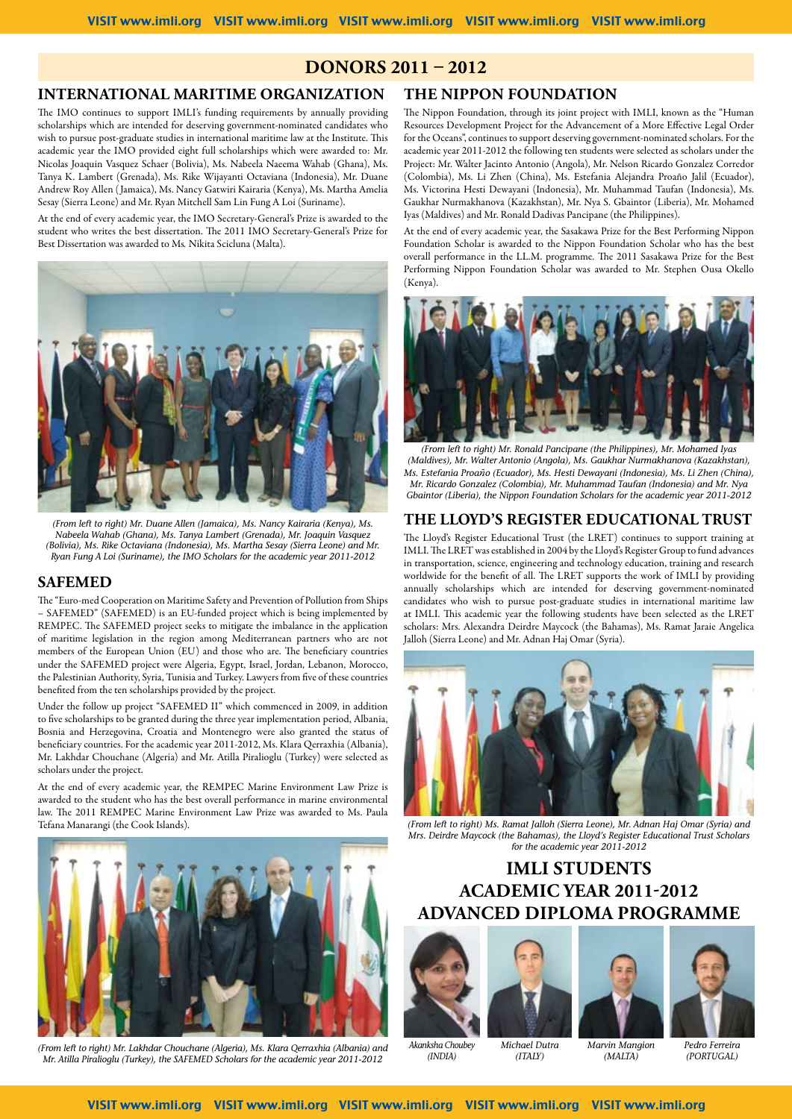### **Donors 2011 – 2012**

### **International Maritime Organization**

The IMO continues to support IMLI's funding requirements by annually providing scholarships which are intended for deserving government-nominated candidates who wish to pursue post-graduate studies in international maritime law at the Institute. This academic year the IMO provided eight full scholarships which were awarded to: Mr. Nicolas Joaquin Vasquez Schaer (Bolivia), Ms. Nabeela Naeema Wahab (Ghana), Ms. Tanya K. Lambert (Grenada), Ms. Rike Wijayanti Octaviana (Indonesia), Mr. Duane Andrew Roy Allen ( Jamaica), Ms. Nancy Gatwiri Kairaria (Kenya), Ms. Martha Amelia Sesay (Sierra Leone) and Mr. Ryan Mitchell Sam Lin Fung A Loi (Suriname).

At the end of every academic year, the IMO Secretary-General's Prize is awarded to the student who writes the best dissertation. The 2011 IMO Secretary-General's Prize for Best Dissertation was awarded to Ms*.* Nikita Scicluna (Malta).



*(From left to right) Mr. Duane Allen (Jamaica), Ms. Nancy Kairaria (Kenya), Ms. Nabeela Wahab (Ghana), Ms. Tanya Lambert (Grenada), Mr. Joaquin Vasquez (Bolivia), Ms. Rike Octaviana (Indonesia), Ms. Martha Sesay (Sierra Leone) and Mr. Ryan Fung A Loi (Suriname), the IMO Scholars for the academic year 2011-2012*

#### **SAFEMED**

The "Euro-med Cooperation on Maritime Safety and Prevention of Pollution from Ships – SAFEMED" (SAFEMED) is an EU-funded project which is being implemented by REMPEC. The SAFEMED project seeks to mitigate the imbalance in the application of maritime legislation in the region among Mediterranean partners who are not members of the European Union (EU) and those who are. The beneficiary countries under the SAFEMED project were Algeria, Egypt, Israel, Jordan, Lebanon, Morocco, the Palestinian Authority, Syria, Tunisia and Turkey. Lawyers from five of these countries benefited from the ten scholarships provided by the project.

Under the follow up project "SAFEMED II" which commenced in 2009, in addition to five scholarships to be granted during the three year implementation period, Albania, Bosnia and Herzegovina, Croatia and Montenegro were also granted the status of beneficiary countries. For the academic year 2011-2012, Ms. Klara Qerraxhia (Albania), Mr. Lakhdar Chouchane (Algeria) and Mr. Atilla Piralioglu (Turkey) were selected as scholars under the project.

At the end of every academic year, the REMPEC Marine Environment Law Prize is awarded to the student who has the best overall performance in marine environmental law. The 2011 REMPEC Marine Environment Law Prize was awarded to Ms. Paula Tefana Manarangi (the Cook Islands).



*(From left to right) Mr. Lakhdar Chouchane (Algeria), Ms. Klara Qerraxhia (Albania) and Mr. Atilla Piralioglu (Turkey), the SAFEMED Scholars for the academic year 2011-2012*

### **THE NIPPON FOUNDATION**

The Nippon Foundation, through its joint project with IMLI, known as the "Human Resources Development Project for the Advancement of a More Effective Legal Order for the Oceans", continues to support deserving government-nominated scholars. For the academic year 2011-2012 the following ten students were selected as scholars under the Project: Mr. Walter Jacinto Antonio (Angola), Mr. Nelson Ricardo Gonzalez Corredor (Colombia), Ms. Li Zhen (China), Ms. Estefania Alejandra Proaño Jalil (Ecuador), Ms. Victorina Hesti Dewayani (Indonesia), Mr. Muhammad Taufan (Indonesia), Ms. Gaukhar Nurmakhanova (Kazakhstan), Mr. Nya S. Gbaintor (Liberia), Mr. Mohamed Iyas (Maldives) and Mr. Ronald Dadivas Pancipane (the Philippines).

At the end of every academic year, the Sasakawa Prize for the Best Performing Nippon Foundation Scholar is awarded to the Nippon Foundation Scholar who has the best overall performance in the LL.M. programme. The 2011 Sasakawa Prize for the Best Performing Nippon Foundation Scholar was awarded to Mr. Stephen Ousa Okello (Kenya).



*(From left to right) Mr. Ronald Pancipane (the Philippines), Mr. Mohamed Iyas (Maldives), Mr. Walter Antonio (Angola), Ms. Gaukhar Nurmakhanova (Kazakhstan), Ms. Estefania Proaño (Ecuador), Ms. Hesti Dewayani (Indonesia), Ms. Li Zhen (China), Mr. Ricardo Gonzalez (Colombia), Mr. Muhammad Taufan (Indonesia) and Mr. Nya Gbaintor (Liberia), the Nippon Foundation Scholars for the academic year 2011-2012*

#### **THE LLOYD'S REGISTER EDUCATIONAL TRUST**

The Lloyd's Register Educational Trust (the LRET) continues to support training at IMLI. The LRET was established in 2004 by the Lloyd's Register Group to fund advances in transportation, science, engineering and technology education, training and research worldwide for the benefit of all. The LRET supports the work of IMLI by providing annually scholarships which are intended for deserving government-nominated candidates who wish to pursue post-graduate studies in international maritime law at IMLI. This academic year the following students have been selected as the LRET scholars: Mrs. Alexandra Deirdre Maycock (the Bahamas), Ms. Ramat Jaraie Angelica Jalloh (Sierra Leone) and Mr. Adnan Haj Omar (Syria).



*(From left to right) Ms. Ramat Jalloh (Sierra Leone), Mr. Adnan Haj Omar (Syria) and Mrs. Deirdre Maycock (the Bahamas), the Lloyd's Register Educational Trust Scholars for the academic year 2011-2012*

## **IMLI STUDENTS ACADEMIC YEAR 2011-2012 ADVANCED DIPLOMA PROGRAMME**







*(MALTA)*



*Akanksha Choubey (INDIA)*

*Michael Dutra (ITALY)*

*(PORTUGAL)*